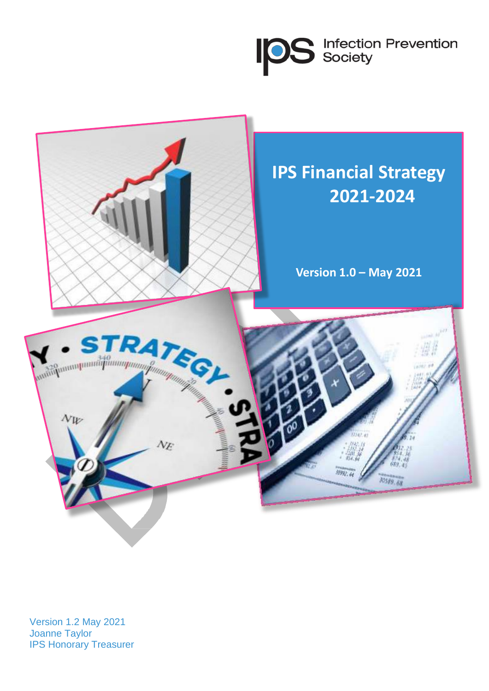**IDS** Infection Prevention



Version 1.2 May 2021 Joanne Taylor IPS Honorary Treasurer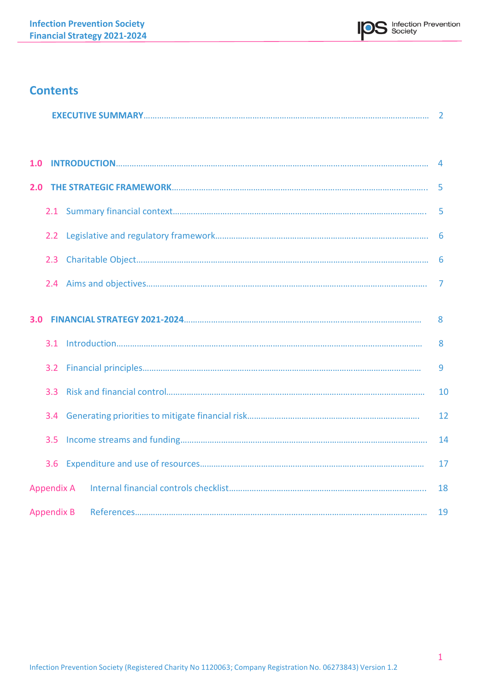

# **Contents**

|     | <b>Contents</b>  |    |
|-----|------------------|----|
|     |                  |    |
|     |                  |    |
|     |                  | -5 |
|     |                  | -5 |
|     |                  |    |
|     | 2.3              |    |
|     |                  |    |
| 3.0 |                  | 8  |
|     |                  | 8  |
|     |                  | 9  |
|     | 3.3 <sub>1</sub> | 10 |
|     | 3.4              | 12 |
|     | 3.5              | 14 |
|     | 3.6              | 17 |
|     |                  | 18 |

Appendix B References………………………………………………………………………………………………………………… 19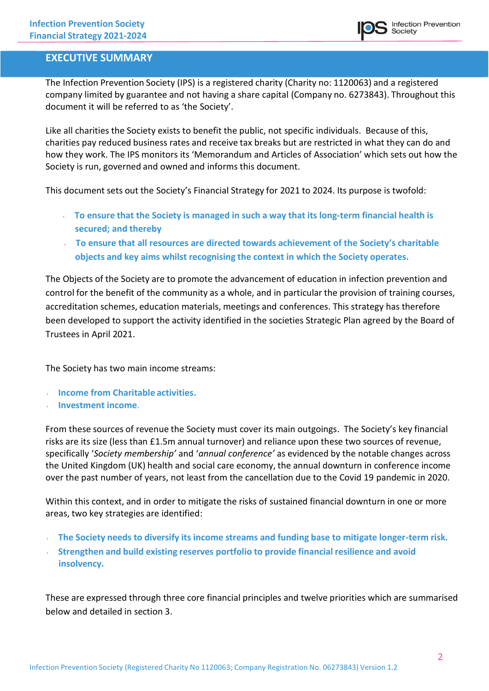### **EXECUTIVE SUMMARY**

The Infection Prevention Society (IPS) is a registered charity (Charity no: 1120063) and a registered company limited by guarantee and not having a share capital (Company no. 6273843). Throughout this document it will be referred to as 'the Society'.

Like all charities the Society exists to benefit the public, not specific individuals. Because of this, charities pay reduced business rates and receive tax breaks but are restricted in what they can do and how they work. The IPS monitors its 'Memorandum and Articles of Association' which sets out how the Society is run, governed and owned and informs this document.

This document sets out the Society's Financial Strategy for 2021 to 2024. Its purpose is twofold:

- **To ensure that the Society is managed in such a way that its long-term financial health is secured; and thereby**
- **To ensure that all resources are directed towards achievement of the Society's charitable objects and key aims whilst recognising the context in which the Society operates.**

The Objects of the Society are to promote the advancement of education in infection prevention and control for the benefit of the community as a whole, and in particular the provision of training courses, accreditation schemes, education materials, meetings and conferences. This strategy has therefore been developed to support the activity identified in the societies Strategic Plan agreed by the Board of Trustees in April 2021.

The Society has two main income streams:

- **Income from Charitable activities.**
- **Investment income**.

From these sources of revenue the Society must cover its main outgoings. The Society's key financial risks are its size (less than £1.5m annual turnover) and reliance upon these two sources of revenue, specifically '*Society membership'* and '*annual conference'* as evidenced by the notable changes across the United Kingdom (UK) health and social care economy, the annual downturn in conference income over the past number of years, not least from the cancellation due to the Covid 19 pandemic in 2020.

Within this context, and in order to mitigate the risks of sustained financial downturn in one or more areas, two key strategies are identified:

- **The Society needs to diversify its income streams and funding base to mitigate longer-term risk.**
- **Strengthen and build existing reserves portfolio to provide financial resilience and avoid insolvency.**

These are expressed through three core financial principles and twelve priorities which are summarised below and detailed in section 3.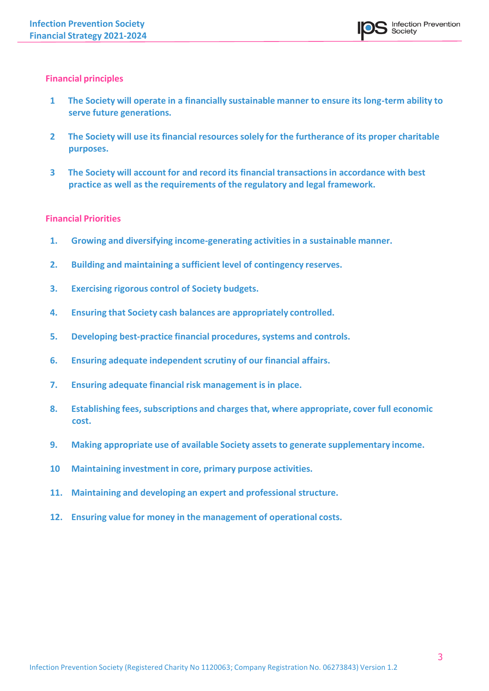### **Financial principles**

- **1 The Society will operate in a financially sustainable manner to ensure its long-term ability to serve future generations.**
- **2 The Society will use its financial resources solely for the furtherance of its proper charitable purposes.**
- **3 The Society will account for and record its financial transactionsin accordance with best practice as well as the requirements of the regulatory and legal framework.**

### **Financial Priorities**

- **1. Growing and diversifying income-generating activities in a sustainable manner.**
- **2. Building and maintaining a sufficient level of contingency reserves.**
- **3. Exercising rigorous control of Society budgets.**
- **4. Ensuring that Society cash balances are appropriately controlled.**
- **5. Developing best-practice financial procedures, systems and controls.**
- **6. Ensuring adequate independent scrutiny of our financial affairs.**
- **7. Ensuring adequate financial risk management is in place.**
- **8. Establishing fees, subscriptions and charges that, where appropriate, cover full economic cost.**
- **9. Making appropriate use of available Society assets to generate supplementary income.**
- **10 Maintaining investment in core, primary purpose activities.**
- **11. Maintaining and developing an expert and professional structure.**
- **12. Ensuring value for money in the management of operational costs.**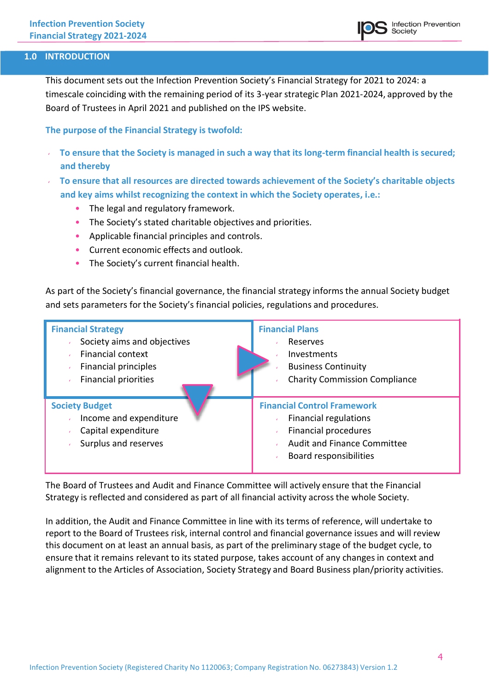### **1.0 INTRODUCTION**

This document sets out the Infection Prevention Society's Financial Strategy for 2021 to 2024: a timescale coinciding with the remaining period of its 3-year strategic Plan 2021-2024, approved by the Board of Trustees in April 2021 and published on the IPS website.

**The purpose of the Financial Strategy is twofold:**

- **To ensure that the Society is managed in such a way that its long-term financial health is secured; and thereby**
- **To ensure that all resources are directed towards achievement of the Society's charitable objects and key aims whilst recognizing the context in which the Society operates, i.e.:**
	- The legal and regulatory framework.
	- The Society's stated charitable objectives and priorities.
	- Applicable financial principles and controls.
	- Current economic effects and outlook.
	- The Society's current financial health.

As part of the Society's financial governance, the financial strategy informsthe annual Society budget and sets parameters for the Society's financial policies, regulations and procedures.

| <b>Financial Strategy</b>                                                                                             | <b>Financial Plans</b>                                                                                                                                            |
|-----------------------------------------------------------------------------------------------------------------------|-------------------------------------------------------------------------------------------------------------------------------------------------------------------|
| Society aims and objectives<br><b>Financial context</b><br><b>Financial principles</b><br><b>Financial priorities</b> | Reserves<br>Investments<br><b>Business Continuity</b><br><b>Charity Commission Compliance</b>                                                                     |
| <b>Society Budget</b><br>Income and expenditure<br>Capital expenditure<br>Surplus and reserves                        | <b>Financial Control Framework</b><br><b>Financial regulations</b><br><b>Financial procedures</b><br><b>Audit and Finance Committee</b><br>Board responsibilities |

The Board of Trustees and Audit and Finance Committee will actively ensure that the Financial Strategy is reflected and considered as part of all financial activity across the whole Society.

In addition, the Audit and Finance Committee in line with its terms of reference, will undertake to report to the Board of Trustees risk, internal control and financial governance issues and will review this document on at least an annual basis, as part of the preliminary stage of the budget cycle, to ensure that it remains relevant to its stated purpose, takes account of any changes in context and alignment to the Articles of Association, Society Strategy and Board Business plan/priority activities.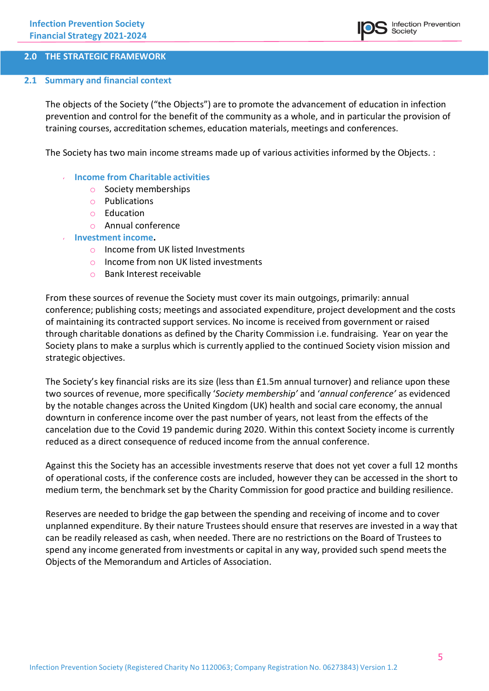

### **2.0 THE STRATEGIC FRAMEWORK**

#### **2.1 Summary and financial context**

The objects of the Society ("the Objects") are to promote the advancement of education in infection prevention and control for the benefit of the community as a whole, and in particular the provision of training courses, accreditation schemes, education materials, meetings and conferences.

The Society has two main income streams made up of various activities informed by the Objects. :

- **Income from Charitable activities**
	- o Society memberships
	- o Publications
	- o Education
	- o Annual conference
- **Investment income.**
	- o Income from UK listed Investments
	- o Income from non UK listed investments
	- o Bank Interest receivable

From these sources of revenue the Society must cover its main outgoings, primarily: annual conference; publishing costs; meetings and associated expenditure, project development and the costs of maintaining its contracted support services. No income is received from government or raised through charitable donations as defined by the Charity Commission i.e. fundraising. Year on year the Society plans to make a surplus which is currently applied to the continued Society vision mission and strategic objectives.

The Society's key financial risks are its size (less than £1.5m annual turnover) and reliance upon these two sources of revenue, more specifically '*Society membership'* and '*annual conference'* as evidenced by the notable changes across the United Kingdom (UK) health and social care economy, the annual downturn in conference income over the past number of years, not least from the effects of the cancelation due to the Covid 19 pandemic during 2020. Within this context Society income is currently reduced as a direct consequence of reduced income from the annual conference.

Against this the Society has an accessible investments reserve that does not yet cover a full 12 months of operational costs, if the conference costs are included, however they can be accessed in the short to medium term, the benchmark set by the Charity Commission for good practice and building resilience.

Reserves are needed to bridge the gap between the spending and receiving of income and to cover unplanned expenditure. By their nature Trustees should ensure that reserves are invested in a way that can be readily released as cash, when needed. There are no restrictions on the Board of Trustees to spend any income generated from investments or capital in any way, provided such spend meets the Objects of the Memorandum and Articles of Association.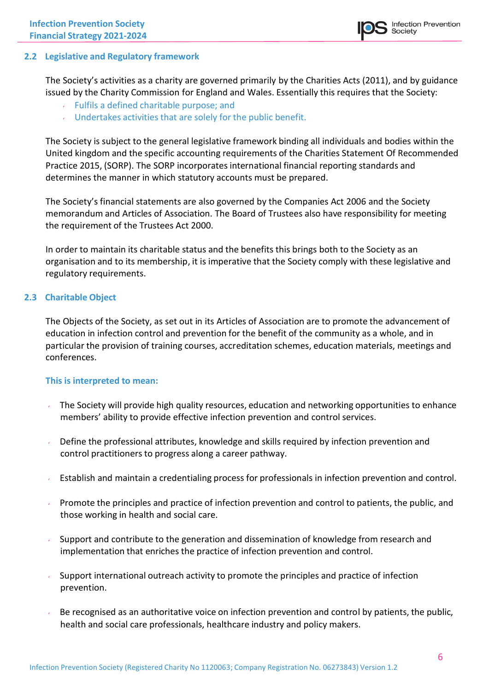### **2.2 Legislative and Regulatory framework**

The Society's activities as a charity are governed primarily by the Charities Acts (2011), and by guidance issued by the Charity Commission for England and Wales. Essentially this requires that the Society:

- $\sqrt{ }$  Fulfils a defined charitable purpose; and
- Undertakes activities that are solely for the public benefit.

The Society is subject to the general legislative framework binding all individuals and bodies within the United kingdom and the specific accounting requirements of the Charities Statement Of Recommended Practice 2015, (SORP). The SORP incorporates international financial reporting standards and determines the manner in which statutory accounts must be prepared.

The Society's financial statements are also governed by the Companies Act 2006 and the Society memorandum and Articles of Association. The Board of Trustees also have responsibility for meeting the requirement of the Trustees Act 2000.

In order to maintain its charitable status and the benefits this brings both to the Society as an organisation and to its membership, it is imperative that the Society comply with these legislative and regulatory requirements.

### **2.3 Charitable Object**

The Objects of the Society, as set out in its Articles of Association are to promote the advancement of education in infection control and prevention for the benefit of the community as a whole, and in particular the provision of training courses, accreditation schemes, education materials, meetings and conferences.

#### **This is interpreted to mean:**

- The Society will provide high quality resources, education and networking opportunities to enhance  $\mathbf{v}$ members' ability to provide effective infection prevention and control services.
- Define the professional attributes, knowledge and skills required by infection prevention and control practitioners to progress along a career pathway.
- Establish and maintain a credentialing process for professionals in infection prevention and control.
- Promote the principles and practice of infection prevention and control to patients, the public, and those working in health and social care.
- Support and contribute to the generation and dissemination of knowledge from research and implementation that enriches the practice of infection prevention and control.
- Support international outreach activity to promote the principles and practice of infection prevention.
- Be recognised as an authoritative voice on infection prevention and control by patients, the public, health and social care professionals, healthcare industry and policy makers.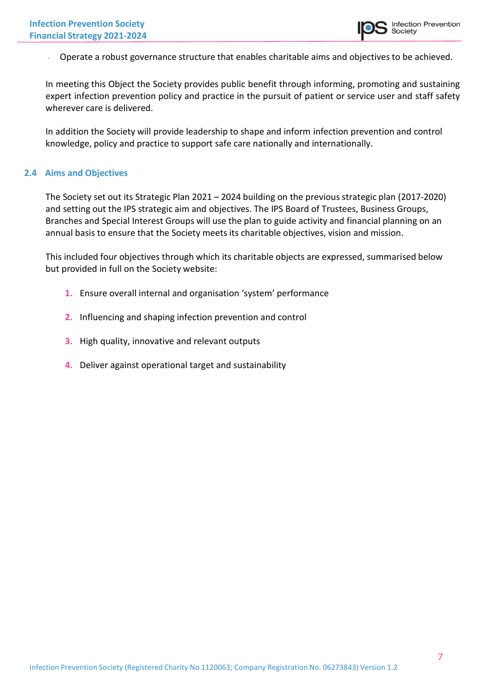Operate a robust governance structure that enables charitable aims and objectives to be achieved.

In meeting this Object the Society provides public benefit through informing, promoting and sustaining expert infection prevention policy and practice in the pursuit of patient or service user and staff safety wherever care is delivered.

In addition the Society will provide leadership to shape and inform infection prevention and control knowledge, policy and practice to support safe care nationally and internationally.

### **2.4 Aims and Objectives**

The Society set out its Strategic Plan 2021 – 2024 building on the previous strategic plan (2017-2020) and setting out the IPS strategic aim and objectives. The IPS Board of Trustees, Business Groups, Branches and Special Interest Groups will use the plan to guide activity and financial planning on an annual basis to ensure that the Society meets its charitable objectives, vision and mission.

This included four objectives through which its charitable objects are expressed, summarised below but provided in full on the Society website:

- **1.** Ensure overall internal and organisation 'system' performance
- **2.** Influencing and shaping infection prevention and control
- **3.** High quality, innovative and relevant outputs
- **4.** Deliver against operational target and sustainability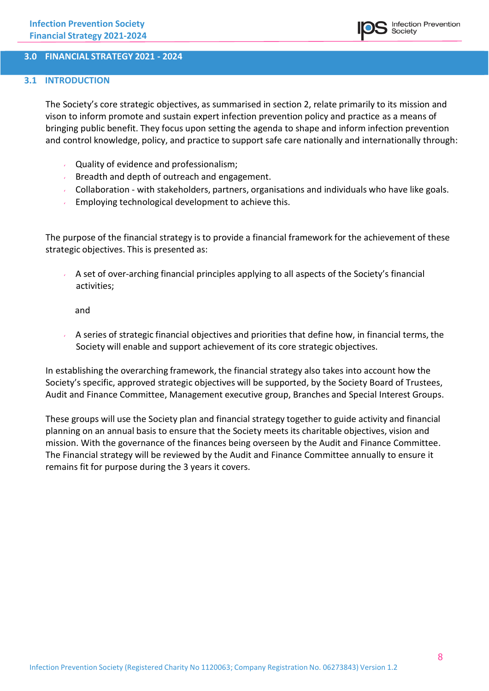#### **3.0 FINANCIAL STRATEGY 2021 - 2024**

#### **3.1 INTRODUCTION**

The Society's core strategic objectives, as summarised in section 2, relate primarily to its mission and vison to inform promote and sustain expert infection prevention policy and practice as a means of bringing public benefit. They focus upon setting the agenda to shape and inform infection prevention and control knowledge, policy, and practice to support safe care nationally and internationally through:

- Quality of evidence and professionalism;
- Breadth and depth of outreach and engagement.
- Collaboration with stakeholders, partners, organisations and individuals who have like goals.
- Employing technological development to achieve this.

The purpose of the financial strategy is to provide a financial framework for the achievement of these strategic objectives. This is presented as:

A set of over-arching financial principles applying to all aspects of the Society's financial activities;

and

A series of strategic financial objectives and priorities that define how, in financial terms, the Society will enable and support achievement of its core strategic objectives.

In establishing the overarching framework, the financial strategy also takes into account how the Society's specific, approved strategic objectives will be supported, by the Society Board of Trustees, Audit and Finance Committee, Management executive group, Branches and Special Interest Groups.

These groups will use the Society plan and financial strategy together to guide activity and financial planning on an annual basis to ensure that the Society meets its charitable objectives, vision and mission. With the governance of the finances being overseen by the Audit and Finance Committee. The Financial strategy will be reviewed by the Audit and Finance Committee annually to ensure it remains fit for purpose during the 3 years it covers.

**Infection Prevention** 

**Society**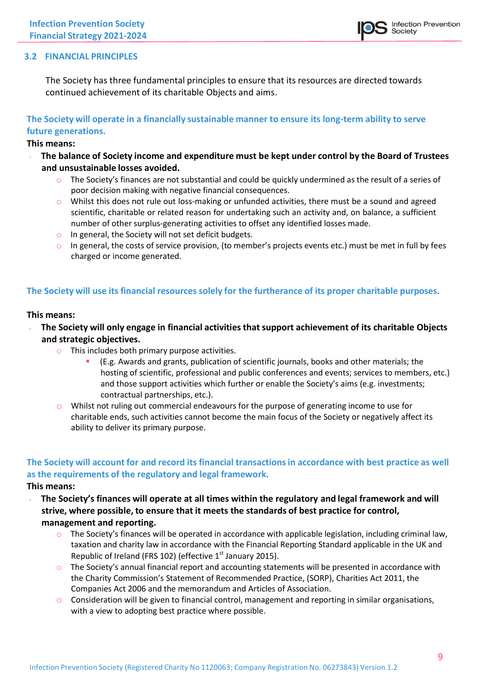

#### **3.2 FINANCIAL PRINCIPLES**

The Society has three fundamental principles to ensure that its resources are directed towards continued achievement of its charitable Objects and aims.

### **The Society will operate in a financially sustainable manner to ensure its long-term ability to serve future generations.**

#### **This means:**

- **The balance of Society income and expenditure must be kept under control by the Board of Trustees and unsustainable losses avoided.**
	- o The Society's finances are not substantial and could be quickly undermined as the result of a series of poor decision making with negative financial consequences.
	- o Whilst this does not rule out loss-making or unfunded activities, there must be a sound and agreed scientific, charitable or related reason for undertaking such an activity and, on balance, a sufficient number of other surplus-generating activities to offset any identified losses made.
	- o In general, the Society will not set deficit budgets.
	- $\circ$  In general, the costs of service provision, (to member's projects events etc.) must be met in full by fees charged or income generated.

### **The Society will use its financial resources solely for the furtherance of its proper charitable purposes.**

#### **This means:**

- **The Society will only engage in financial activitiesthat support achievement of its charitable Objects and strategic objectives.**
	- o This includes both primary purpose activities.
		- (E.g. Awards and grants, publication of scientific journals, books and other materials; the hosting of scientific, professional and public conferences and events; services to members, etc.) and those support activities which further or enable the Society's aims (e.g. investments; contractual partnerships, etc.).
	- $\circ$  Whilst not ruling out commercial endeavours for the purpose of generating income to use for charitable ends, such activities cannot become the main focus of the Society or negatively affect its ability to deliver its primary purpose.

# **The Society will account for and record its financial transactionsin accordance with best practice as well as the requirements of the regulatory and legal framework.**

- **This means:**
	- **The Society's finances will operate at all times within the regulatory and legal framework and will strive, where possible, to ensure that it meets the standards of best practice for control, management and reporting.**
		- $\circ$  The Society's finances will be operated in accordance with applicable legislation, including criminal law, taxation and charity law in accordance with the Financial Reporting Standard applicable in the UK and Republic of Ireland (FRS 102) (effective 1<sup>st</sup> January 2015).
		- $\circ$  The Society's annual financial report and accounting statements will be presented in accordance with the Charity Commission's Statement of Recommended Practice, (SORP), Charities Act 2011, the Companies Act 2006 and the memorandum and Articles of Association.
		- $\circ$  Consideration will be given to financial control, management and reporting in similar organisations, with a view to adopting best practice where possible.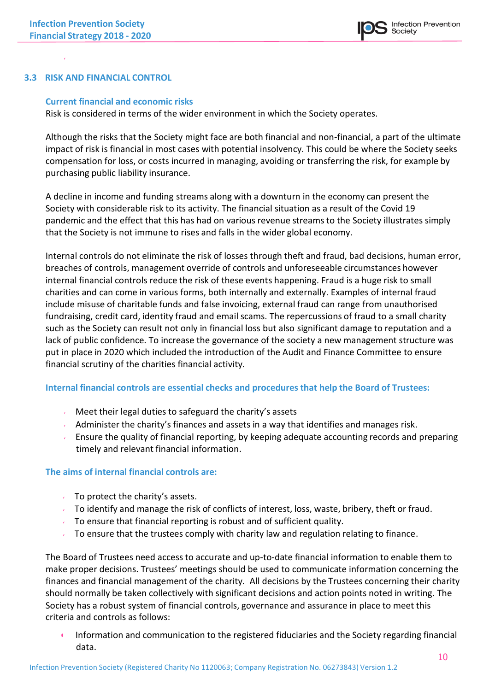### **3.3 RISK AND FINANCIAL CONTROL**

#### **Current financial and economic risks**

Risk is considered in terms of the wider environment in which the Society operates.

Although the risks that the Society might face are both financial and non-financial, a part of the ultimate impact of risk is financial in most cases with potential insolvency. This could be where the Society seeks compensation for loss, or costs incurred in managing, avoiding or transferring the risk, for example by purchasing public liability insurance.

A decline in income and funding streams along with a downturn in the economy can present the Society with considerable risk to its activity. The financial situation as a result of the Covid 19 pandemic and the effect that this has had on various revenue streams to the Society illustrates simply that the Society is not immune to rises and falls in the wider global economy.

Internal controls do not eliminate the risk of losses through theft and fraud, bad decisions, human error, breaches of controls, management override of controls and unforeseeable circumstances however internal financial controls reduce the risk of these events happening. Fraud is a huge risk to small charities and can come in various forms, both internally and externally. Examples of internal fraud include misuse of charitable funds and false invoicing, external fraud can range from unauthorised fundraising, credit card, identity fraud and email scams. The repercussions of fraud to a small charity such as the Society can result not only in financial loss but also significant damage to reputation and a lack of public confidence. To increase the governance of the society a new management structure was put in place in 2020 which included the introduction of the Audit and Finance Committee to ensure financial scrutiny of the charities financial activity.

#### **Internal financial controls are essential checks and procedures that help the Board of Trustees:**

- Meet their legal duties to safeguard the charity's assets
- Administer the charity's finances and assets in a way that identifies and manages risk.
- Ensure the quality of financial reporting, by keeping adequate accounting records and preparing timely and relevant financial information.

#### **The aims of internal financial controls are:**

- $\sqrt{ }$  To protect the charity's assets.
- To identify and manage the risk of conflicts of interest, loss, waste, bribery, theft or fraud.
- $\sim$  To ensure that financial reporting is robust and of sufficient quality.
- To ensure that the trustees comply with charity law and regulation relating to finance.

The Board of Trustees need access to accurate and up-to-date financial information to enable them to make proper decisions. Trustees' meetings should be used to communicate information concerning the finances and financial management of the charity. All decisions by the Trustees concerning their charity should normally be taken collectively with significant decisions and action points noted in writing. The Society has a robust system of financial controls, governance and assurance in place to meet this criteria and controls as follows:

• Information and communication to the registered fiduciaries and the Society regarding financial data.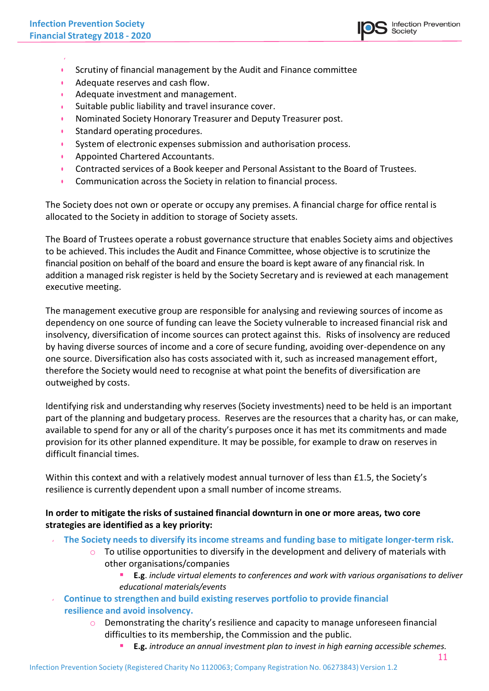

- Scrutiny of financial management by the Audit and Finance committee
- Adequate reserves and cash flow.
- Adequate investment and management.
- Suitable public liability and travel insurance cover.
- Nominated Society Honorary Treasurer and Deputy Treasurer post.
- Standard operating procedures.
- System of electronic expenses submission and authorisation process.
- Appointed Chartered Accountants.
- Contracted services of a Book keeper and Personal Assistant to the Board of Trustees.
- Communication across the Society in relation to financial process.

The Society does not own or operate or occupy any premises. A financial charge for office rental is allocated to the Society in addition to storage of Society assets.

The Board of Trustees operate a robust governance structure that enables Society aims and objectives to be achieved. This includes the Audit and Finance Committee, whose objective is to scrutinize the financial position on behalf of the board and ensure the board is kept aware of any financial risk. In addition a managed risk register is held by the Society Secretary and is reviewed at each management executive meeting.

The management executive group are responsible for analysing and reviewing sources of income as dependency on one source of funding can leave the Society vulnerable to increased financial risk and insolvency, diversification of income sources can protect against this. Risks of insolvency are reduced by having diverse sources of income and a core of secure funding, avoiding over-dependence on any one source. Diversification also has costs associated with it, such as increased management effort, therefore the Society would need to recognise at what point the benefits of diversification are outweighed by costs.

Identifying risk and understanding why reserves (Society investments) need to be held is an important part of the planning and budgetary process. Reserves are the resources that a charity has, or can make, available to spend for any or all of the charity's purposes once it has met its commitments and made provision for its other planned expenditure. It may be possible, for example to draw on reserves in difficult financial times.

Within this context and with a relatively modest annual turnover of less than £1.5, the Society's resilience is currently dependent upon a small number of income streams.

### **In order to mitigate the risks of sustained financial downturn in one or more areas, two core strategies are identified as a key priority:**

- **The Society needs to diversify its income streams and funding base to mitigate longer-term risk.**
	- $\circ$  To utilise opportunities to diversify in the development and delivery of materials with other organisations/companies
		- **E.g**. *include virtual elements to conferences and work with various organisations to deliver educational materials/events*
- **Continue to strengthen and build existing reserves portfolio to provide financial resilience and avoid insolvency.**
	- o Demonstrating the charity's resilience and capacity to manage unforeseen financial difficulties to its membership, the Commission and the public.
		- **E.g.** *introduce an annual investment plan to invest in high earning accessible schemes.*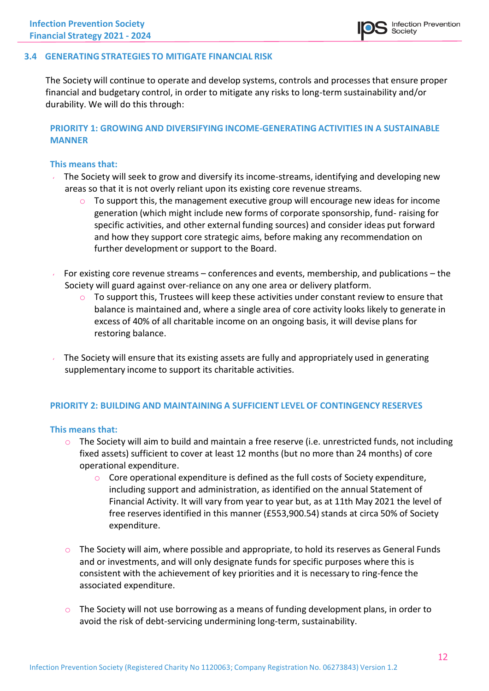### **3.4 GENERATING STRATEGIES TO MITIGATE FINANCIAL RISK**

The Society will continue to operate and develop systems, controls and processes that ensure proper financial and budgetary control, in order to mitigate any risks to long-term sustainability and/or durability. We will do this through:

### **PRIORITY 1: GROWING AND DIVERSIFYING INCOME-GENERATING ACTIVITIES IN A SUSTAINABLE MANNER**

#### **This means that:**

- The Society will seek to grow and diversify its income-streams, identifying and developing new areas so that it is not overly reliant upon its existing core revenue streams.
	- To support this, the management executive group will encourage new ideas for income generation (which might include new forms of corporate sponsorship, fund- raising for specific activities, and other external funding sources) and consider ideas put forward and how they support core strategic aims, before making any recommendation on further development or support to the Board.
- For existing core revenue streams conferences and events, membership, and publications the Society will guard against over-reliance on any one area or delivery platform.
	- $\circ$  To support this, Trustees will keep these activities under constant review to ensure that balance is maintained and, where a single area of core activity looks likely to generate in excess of 40% of all charitable income on an ongoing basis, it will devise plans for restoring balance.
- The Society will ensure that its existing assets are fully and appropriately used in generating supplementary income to support its charitable activities.

#### **PRIORITY 2: BUILDING AND MAINTAINING A SUFFICIENT LEVEL OF CONTINGENCY RESERVES**

#### **This means that:**

- $\circ$  The Society will aim to build and maintain a free reserve (i.e. unrestricted funds, not including fixed assets) sufficient to cover at least 12 months (but no more than 24 months) of core operational expenditure.
	- $\circ$  Core operational expenditure is defined as the full costs of Society expenditure, including support and administration, as identified on the annual Statement of Financial Activity. It will vary from year to year but, as at 11th May 2021 the level of free reserves identified in this manner (£553,900.54) stands at circa 50% of Society expenditure.
- $\circ$  The Society will aim, where possible and appropriate, to hold its reserves as General Funds and or investments, and will only designate funds for specific purposes where this is consistent with the achievement of key priorities and it is necessary to ring-fence the associated expenditure.
- $\circ$  The Society will not use borrowing as a means of funding development plans, in order to avoid the risk of debt-servicing undermining long-term, sustainability.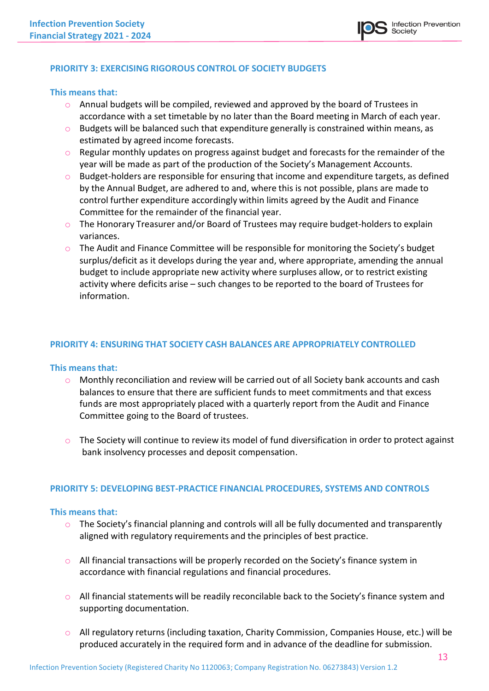### **PRIORITY 3: EXERCISING RIGOROUS CONTROL OF SOCIETY BUDGETS**

#### **This means that:**

- o Annual budgets will be compiled, reviewed and approved by the board of Trustees in accordance with a set timetable by no later than the Board meeting in March of each year.
- $\circ$  Budgets will be balanced such that expenditure generally is constrained within means, as estimated by agreed income forecasts.
- o Regular monthly updates on progress against budget and forecasts for the remainder of the year will be made as part of the production of the Society's Management Accounts.
- $\circ$  Budget-holders are responsible for ensuring that income and expenditure targets, as defined by the Annual Budget, are adhered to and, where this is not possible, plans are made to control further expenditure accordingly within limits agreed by the Audit and Finance Committee for the remainder of the financial year.
- $\circ$  The Honorary Treasurer and/or Board of Trustees may require budget-holders to explain variances.
- $\circ$  The Audit and Finance Committee will be responsible for monitoring the Society's budget surplus/deficit as it develops during the year and, where appropriate, amending the annual budget to include appropriate new activity where surpluses allow, or to restrict existing activity where deficits arise – such changes to be reported to the board of Trustees for information.

#### **PRIORITY 4: ENSURING THAT SOCIETY CASH BALANCES ARE APPROPRIATELY CONTROLLED**

#### **This means that:**

- $\circ$  Monthly reconciliation and review will be carried out of all Society bank accounts and cash balances to ensure that there are sufficient funds to meet commitments and that excess funds are most appropriately placed with a quarterly report from the Audit and Finance Committee going to the Board of trustees.
- o The Society will continue to review its model of fund diversification in order to protect against bank insolvency processes and deposit compensation.

#### **PRIORITY 5: DEVELOPING BEST-PRACTICE FINANCIAL PROCEDURES, SYSTEMS AND CONTROLS**

#### **This means that:**

- $\circ$  The Society's financial planning and controls will all be fully documented and transparently aligned with regulatory requirements and the principles of best practice.
- o All financial transactions will be properly recorded on the Society's finance system in accordance with financial regulations and financial procedures.
- $\circ$  All financial statements will be readily reconcilable back to the Society's finance system and supporting documentation.
- $\circ$  All regulatory returns (including taxation, Charity Commission, Companies House, etc.) will be produced accurately in the required form and in advance of the deadline for submission.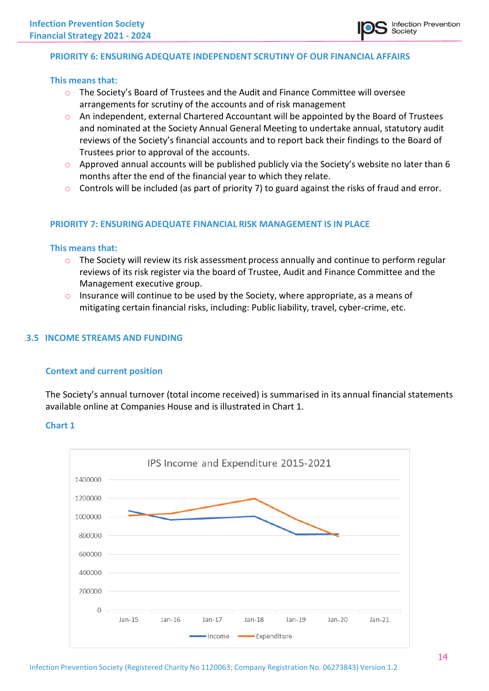### **PRIORITY 6: ENSURING ADEQUATE INDEPENDENT SCRUTINY OF OUR FINANCIAL AFFAIRS**

#### **This means that:**

- o The Society's Board of Trustees and the Audit and Finance Committee will oversee arrangements for scrutiny of the accounts and of risk management
- o An independent, external Chartered Accountant will be appointed by the Board of Trustees and nominated at the Society Annual General Meeting to undertake annual, statutory audit reviews of the Society's financial accounts and to report back their findings to the Board of Trustees prior to approval of the accounts.
- $\circ$  Approved annual accounts will be published publicly via the Society's website no later than 6 months after the end of the financial year to which they relate.
- $\circ$  Controls will be included (as part of priority 7) to guard against the risks of fraud and error.

#### **PRIORITY 7: ENSURING ADEQUATE FINANCIAL RISK MANAGEMENT IS IN PLACE**

#### **This means that:**

- $\circ$  The Society will review its risk assessment process annually and continue to perform regular reviews of its risk register via the board of Trustee, Audit and Finance Committee and the Management executive group.
- $\circ$  Insurance will continue to be used by the Society, where appropriate, as a means of mitigating certain financial risks, including: Public liability, travel, cyber-crime, etc.

#### .**3.5 INCOME STREAMS AND FUNDING**

#### **Context and current position**

The Society's annual turnover (total income received) is summarised in its annual financial statements available online at Companies House and is illustrated in Chart 1.

### **Chart 1**

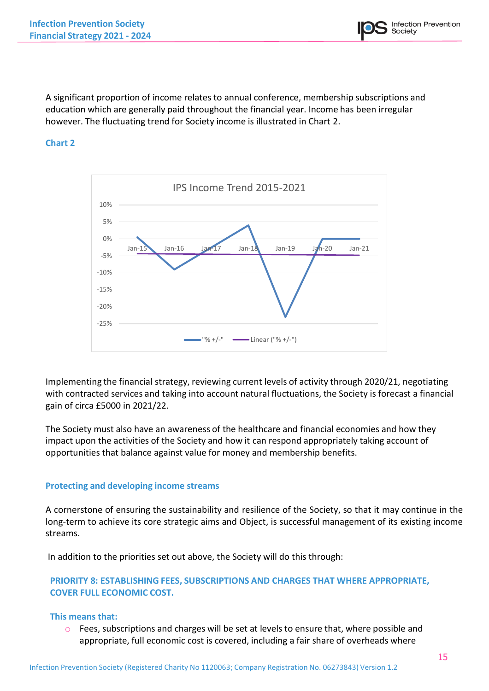A significant proportion of income relates to annual conference, membership subscriptions and education which are generally paid throughout the financial year. Income has been irregular however. The fluctuating trend for Society income is illustrated in Chart 2.

### **Chart 2**



Implementing the financial strategy, reviewing current levels of activity through 2020/21, negotiating with contracted services and taking into account natural fluctuations, the Society is forecast a financial gain of circa £5000 in 2021/22.

The Society must also have an awareness of the healthcare and financial economies and how they impact upon the activities of the Society and how it can respond appropriately taking account of opportunities that balance against value for money and membership benefits.

### **Protecting and developing income streams**

A cornerstone of ensuring the sustainability and resilience of the Society, so that it may continue in the long-term to achieve its core strategic aims and Object, is successful management of its existing income streams.

In addition to the priorities set out above, the Society will do this through:

### **PRIORITY 8: ESTABLISHING FEES, SUBSCRIPTIONS AND CHARGES THAT WHERE APPROPRIATE, COVER FULL ECONOMIC COST.**

### **This means that:**

 $\circ$  Fees, subscriptions and charges will be set at levels to ensure that, where possible and appropriate, full economic cost is covered, including a fair share of overheads where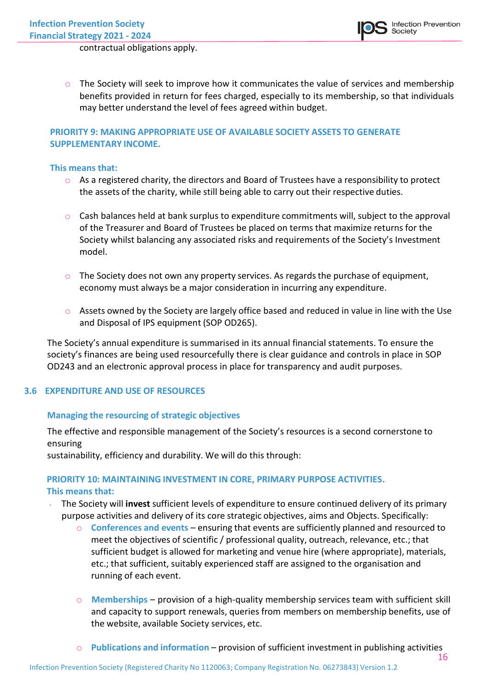contractual obligations apply.

 $\circ$  The Society will seek to improve how it communicates the value of services and membership benefits provided in return for fees charged, especially to its membership, so that individuals may better understand the level of fees agreed within budget.

### **PRIORITY 9: MAKING APPROPRIATE USE OF AVAILABLE SOCIETY ASSETS TO GENERATE SUPPLEMENTARY INCOME.**

#### **This means that:**

- $\circ$  As a registered charity, the directors and Board of Trustees have a responsibility to protect the assets of the charity, while still being able to carry out their respective duties.
- $\circ$  Cash balances held at bank surplus to expenditure commitments will, subject to the approval of the Treasurer and Board of Trustees be placed on terms that maximize returns for the Society whilst balancing any associated risks and requirements of the Society's Investment model.
- $\circ$  The Society does not own any property services. As regards the purchase of equipment, economy must always be a major consideration in incurring any expenditure.
- $\circ$  Assets owned by the Society are largely office based and reduced in value in line with the Use and Disposal of IPS equipment (SOP OD265).

The Society's annual expenditure is summarised in its annual financial statements. To ensure the society's finances are being used resourcefully there is clear guidance and controls in place in SOP OD243 and an electronic approval process in place for transparency and audit purposes.

### **3.6 EXPENDITURE AND USE OF RESOURCES**

### **Managing the resourcing of strategic objectives**

The effective and responsible management of the Society's resources is a second cornerstone to ensuring

sustainability, efficiency and durability. We will do this through:

### **PRIORITY 10: MAINTAINING INVESTMENT IN CORE, PRIMARY PURPOSE ACTIVITIES. This means that:**

- The Society will **invest** sufficient levels of expenditure to ensure continued delivery of its primary purpose activities and delivery of its core strategic objectives, aims and Objects. Specifically:
	- o **Conferences and events** ensuring that events are sufficiently planned and resourced to meet the objectives of scientific / professional quality, outreach, relevance, etc.; that sufficient budget is allowed for marketing and venue hire (where appropriate), materials, etc.; that sufficient, suitably experienced staff are assigned to the organisation and running of each event.
	- o **Memberships** provision of a high-quality membership services team with sufficient skill and capacity to support renewals, queries from members on membership benefits, use of the website, available Society services, etc.
	- 16 o **Publications and information** – provision of sufficient investment in publishing activities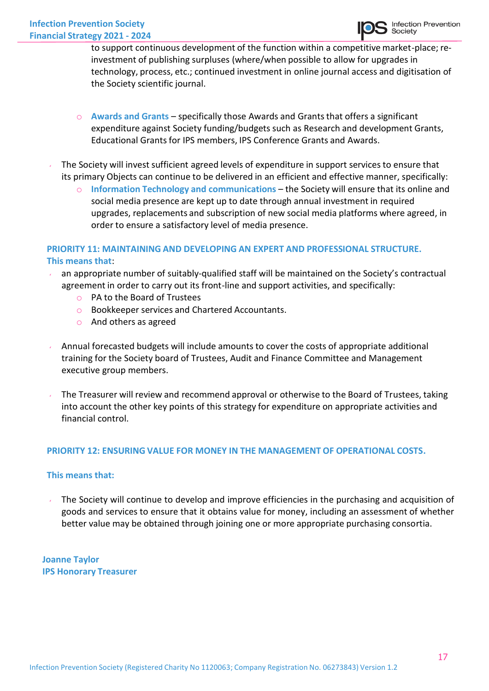to support continuous development of the function within a competitive market-place; reinvestment of publishing surpluses (where/when possible to allow for upgrades in technology, process, etc.; continued investment in online journal access and digitisation of the Society scientific journal.

- o **Awards and Grants**  specifically those Awards and Grantsthat offers a significant expenditure against Society funding/budgets such as Research and development Grants, Educational Grants for IPS members, IPS Conference Grants and Awards.
- The Society will invest sufficient agreed levels of expenditure in support services to ensure that its primary Objects can continue to be delivered in an efficient and effective manner, specifically:
	- o **Information Technology and communications** the Society will ensure that its online and social media presence are kept up to date through annual investment in required upgrades, replacements and subscription of new social media platforms where agreed, in order to ensure a satisfactory level of media presence.

### **PRIORITY 11: MAINTAINING AND DEVELOPING AN EXPERT AND PROFESSIONAL STRUCTURE. This means that**:

- an appropriate number of suitably-qualified staff will be maintained on the Society's contractual agreement in order to carry out its front-line and support activities, and specifically:
	- o PA to the Board of Trustees
	- o Bookkeeper services and Chartered Accountants.
	- o And others as agreed
- Annual forecasted budgets will include amounts to cover the costs of appropriate additional training for the Society board of Trustees, Audit and Finance Committee and Management executive group members.
- The Treasurer will review and recommend approval or otherwise to the Board of Trustees, taking into account the other key points of this strategy for expenditure on appropriate activities and financial control.

### **PRIORITY 12: ENSURING VALUE FOR MONEY IN THE MANAGEMENT OF OPERATIONAL COSTS.**

### **This means that:**

The Society will continue to develop and improve efficiencies in the purchasing and acquisition of goods and services to ensure that it obtains value for money, including an assessment of whether better value may be obtained through joining one or more appropriate purchasing consortia.

**Joanne Taylor IPS Honorary Treasurer**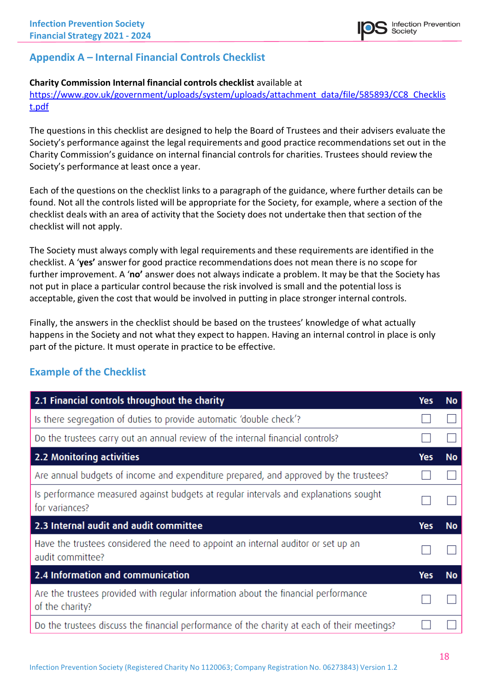# **Appendix A – Internal Financial Controls Checklist**

### **Charity Commission Internal financial controls checklist** available at

[https://www.gov.uk/government/uploads/system/uploads/attachment\\_data/file/585893/CC8\\_Checklis](https://www.gov.uk/government/uploads/system/uploads/attachment_data/file/585893/CC8_Checklist.pdf) [t.pdf](https://www.gov.uk/government/uploads/system/uploads/attachment_data/file/585893/CC8_Checklist.pdf)

The questions in this checklist are designed to help the Board of Trustees and their advisers evaluate the Society's performance against the legal requirements and good practice recommendations set out in the Charity Commission's guidance on internal financial controls for charities. Trustees should review the Society's performance at least once a year.

Each of the questions on the checklist links to a paragraph of the guidance, where further details can be found. Not all the controls listed will be appropriate for the Society, for example, where a section of the checklist deals with an area of activity that the Society does not undertake then that section of the checklist will not apply.

The Society must always comply with legal requirements and these requirements are identified in the checklist. A '**yes'** answer for good practice recommendations does not mean there is no scope for further improvement. A '**no'** answer does not always indicate a problem. It may be that the Society has not put in place a particular control because the risk involved is small and the potential loss is acceptable, given the cost that would be involved in putting in place stronger internal controls.

Finally, the answers in the checklist should be based on the trustees' knowledge of what actually happens in the Society and not what they expect to happen. Having an internal control in place is only part of the picture. It must operate in practice to be effective.

## **Example of the Checklist**

| 2.1 Financial controls throughout the charity                                                          |     |    |  |
|--------------------------------------------------------------------------------------------------------|-----|----|--|
| Is there segregation of duties to provide automatic 'double check'?                                    |     |    |  |
| Do the trustees carry out an annual review of the internal financial controls?                         |     |    |  |
| 2.2 Monitoring activities                                                                              | Yes | No |  |
| Are annual budgets of income and expenditure prepared, and approved by the trustees?                   |     |    |  |
| Is performance measured against budgets at regular intervals and explanations sought<br>for variances? |     |    |  |
| 2.3 Internal audit and audit committee                                                                 |     |    |  |
| Have the trustees considered the need to appoint an internal auditor or set up an<br>audit committee?  |     |    |  |
| 2.4 Information and communication                                                                      |     |    |  |
| Are the trustees provided with regular information about the financial performance<br>of the charity?  |     |    |  |
| Do the trustees discuss the financial performance of the charity at each of their meetings?            |     |    |  |